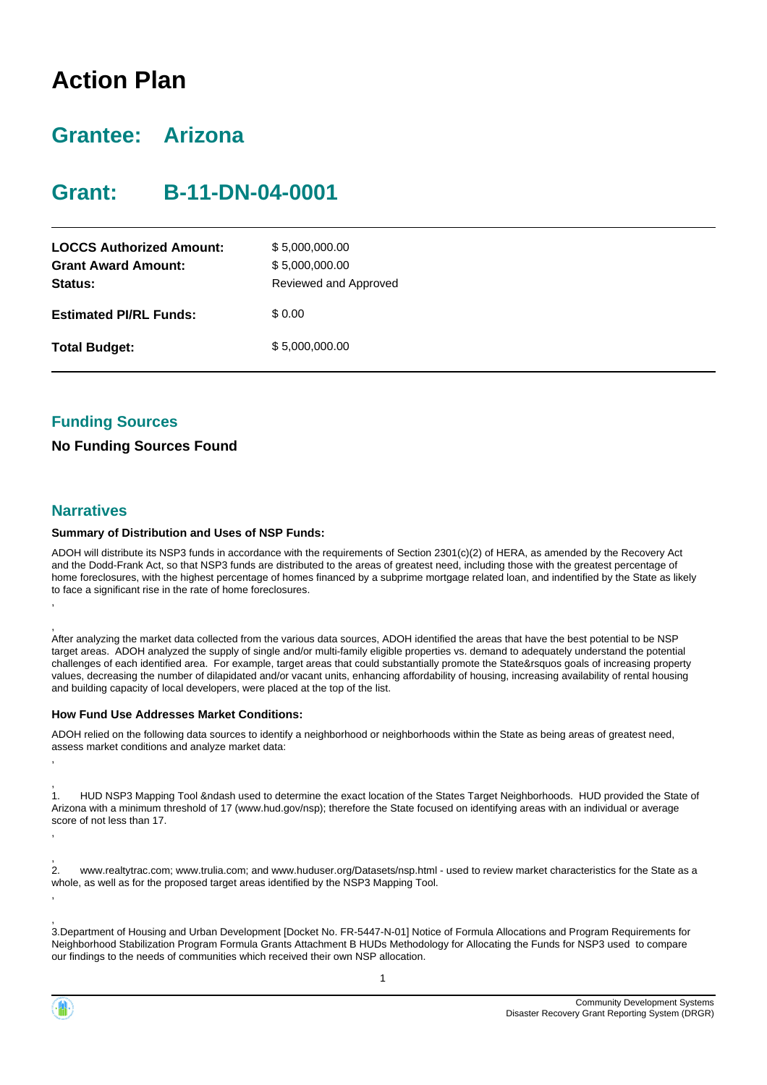# **Action Plan**

# **Grantee: Arizona**

# **Grant: B-11-DN-04-0001**

| <b>LOCCS Authorized Amount:</b><br><b>Grant Award Amount:</b><br>Status: | \$5,000,000.00<br>\$5,000,000.00<br>Reviewed and Approved |
|--------------------------------------------------------------------------|-----------------------------------------------------------|
| <b>Estimated PI/RL Funds:</b>                                            | \$0.00                                                    |
| <b>Total Budget:</b>                                                     | \$5,000,000.00                                            |

### **Funding Sources**

#### **No Funding Sources Found**

#### **Narratives**

#### **Summary of Distribution and Uses of NSP Funds:**

ADOH will distribute its NSP3 funds in accordance with the requirements of Section 2301(c)(2) of HERA, as amended by the Recovery Act and the Dodd-Frank Act, so that NSP3 funds are distributed to the areas of greatest need, including those with the greatest percentage of home foreclosures, with the highest percentage of homes financed by a subprime mortgage related loan, and indentified by the State as likely to face a significant rise in the rate of home foreclosures. ,

, After analyzing the market data collected from the various data sources, ADOH identified the areas that have the best potential to be NSP target areas. ADOH analyzed the supply of single and/or multi-family eligible properties vs. demand to adequately understand the potential challenges of each identified area. For example, target areas that could substantially promote the State&rsquos goals of increasing property values, decreasing the number of dilapidated and/or vacant units, enhancing affordability of housing, increasing availability of rental housing and building capacity of local developers, were placed at the top of the list.

#### **How Fund Use Addresses Market Conditions:**

ADOH relied on the following data sources to identify a neighborhood or neighborhoods within the State as being areas of greatest need, assess market conditions and analyze market data:

, 1. HUD NSP3 Mapping Tool &ndash used to determine the exact location of the States Target Neighborhoods. HUD provided the State of Arizona with a minimum threshold of 17 (www.hud.gov/nsp); therefore the State focused on identifying areas with an individual or average score of not less than 17.

 $\frac{1}{2}$ 2. www.realtytrac.com; www.trulia.com; and www.huduser.org/Datasets/nsp.html - used to review market characteristics for the State as a whole, as well as for the proposed target areas identified by the NSP3 Mapping Tool.

, 3.Department of Housing and Urban Development [Docket No. FR-5447-N-01] Notice of Formula Allocations and Program Requirements for Neighborhood Stabilization Program Formula Grants Attachment B HUDs Methodology for Allocating the Funds for NSP3 used to compare our findings to the needs of communities which received their own NSP allocation.



,

,

,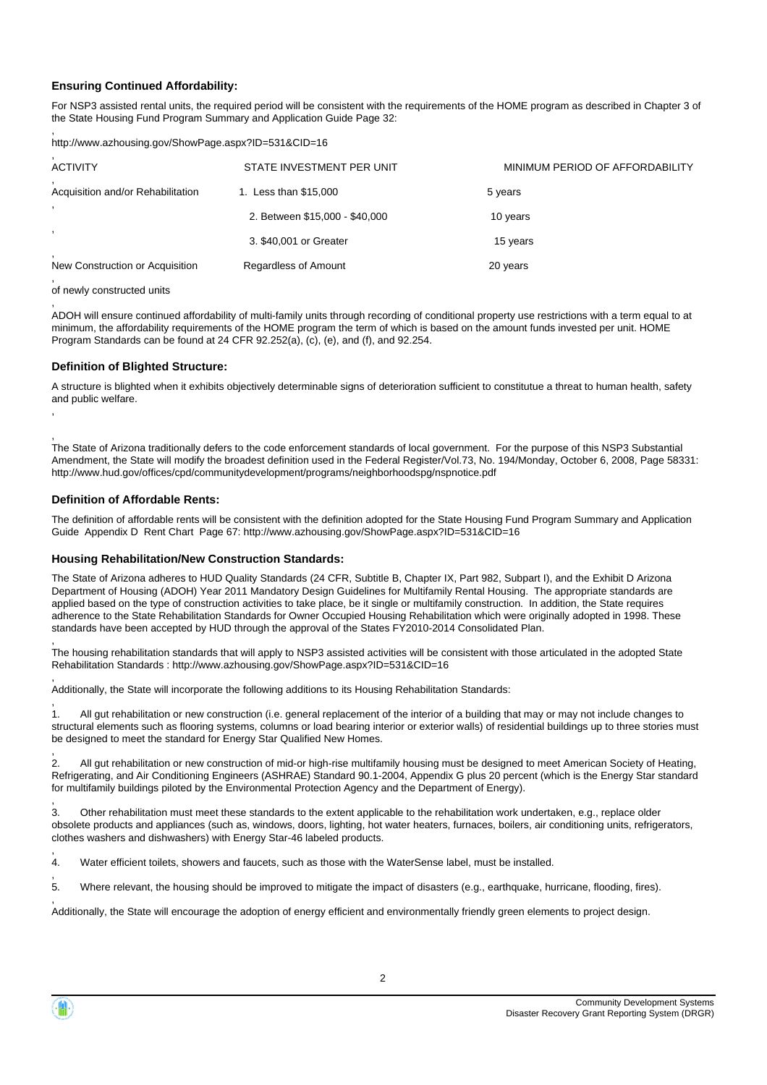#### **Ensuring Continued Affordability:**

For NSP3 assisted rental units, the required period will be consistent with the requirements of the HOME program as described in Chapter 3 of the State Housing Fund Program Summary and Application Guide Page 32:

, http://www.azhousing.gov/ShowPage.aspx?ID=531&CID=16

#### of newly constructed units

, ,

, ADOH will ensure continued affordability of multi-family units through recording of conditional property use restrictions with a term equal to at minimum, the affordability requirements of the HOME program the term of which is based on the amount funds invested per unit. HOME Program Standards can be found at 24 CFR 92.252(a), (c), (e), and (f), and 92.254.

#### **Definition of Blighted Structure:**

A structure is blighted when it exhibits objectively determinable signs of deterioration sufficient to constitutue a threat to human health, safety and public welfare.

The State of Arizona traditionally defers to the code enforcement standards of local government. For the purpose of this NSP3 Substantial Amendment, the State will modify the broadest definition used in the Federal Register/Vol.73, No. 194/Monday, October 6, 2008, Page 58331: http://www.hud.gov/offices/cpd/communitydevelopment/programs/neighborhoodspg/nspnotice.pdf

#### **Definition of Affordable Rents:**

The definition of affordable rents will be consistent with the definition adopted for the State Housing Fund Program Summary and Application Guide Appendix D Rent Chart Page 67: http://www.azhousing.gov/ShowPage.aspx?ID=531&CID=16

#### **Housing Rehabilitation/New Construction Standards:**

The State of Arizona adheres to HUD Quality Standards (24 CFR, Subtitle B, Chapter IX, Part 982, Subpart I), and the Exhibit D Arizona Department of Housing (ADOH) Year 2011 Mandatory Design Guidelines for Multifamily Rental Housing. The appropriate standards are applied based on the type of construction activities to take place, be it single or multifamily construction. In addition, the State requires adherence to the State Rehabilitation Standards for Owner Occupied Housing Rehabilitation which were originally adopted in 1998. These standards have been accepted by HUD through the approval of the States FY2010-2014 Consolidated Plan.

, The housing rehabilitation standards that will apply to NSP3 assisted activities will be consistent with those articulated in the adopted State Rehabilitation Standards : http://www.azhousing.gov/ShowPage.aspx?ID=531&CID=16

, Additionally, the State will incorporate the following additions to its Housing Rehabilitation Standards:

, 1. All gut rehabilitation or new construction (i.e. general replacement of the interior of a building that may or may not include changes to structural elements such as flooring systems, columns or load bearing interior or exterior walls) of residential buildings up to three stories must be designed to meet the standard for Energy Star Qualified New Homes.

, 2. All gut rehabilitation or new construction of mid-or high-rise multifamily housing must be designed to meet American Society of Heating, Refrigerating, and Air Conditioning Engineers (ASHRAE) Standard 90.1-2004, Appendix G plus 20 percent (which is the Energy Star standard for multifamily buildings piloted by the Environmental Protection Agency and the Department of Energy).

, 3. Other rehabilitation must meet these standards to the extent applicable to the rehabilitation work undertaken, e.g., replace older obsolete products and appliances (such as, windows, doors, lighting, hot water heaters, furnaces, boilers, air conditioning units, refrigerators, clothes washers and dishwashers) with Energy Star-46 labeled products.

, 4. Water efficient toilets, showers and faucets, such as those with the WaterSense label, must be installed.

, 5. Where relevant, the housing should be improved to mitigate the impact of disasters (e.g., earthquake, hurricane, flooding, fires).

, Additionally, the State will encourage the adoption of energy efficient and environmentally friendly green elements to project design.

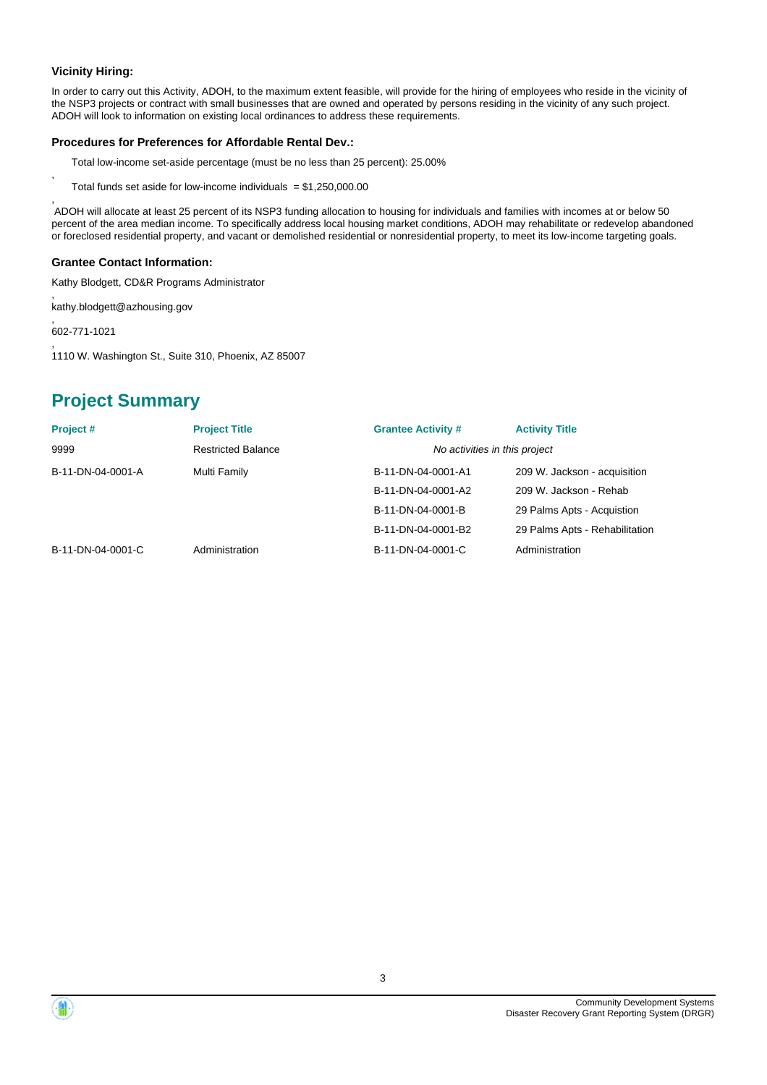#### **Vicinity Hiring:**

,

,

In order to carry out this Activity, ADOH, to the maximum extent feasible, will provide for the hiring of employees who reside in the vicinity of the NSP3 projects or contract with small businesses that are owned and operated by persons residing in the vicinity of any such project. ADOH will look to information on existing local ordinances to address these requirements.

#### **Procedures for Preferences for Affordable Rental Dev.:**

Total low-income set-aside percentage (must be no less than 25 percent): 25.00%

Total funds set aside for low-income individuals  $= $1,250,000.00$ 

 ADOH will allocate at least 25 percent of its NSP3 funding allocation to housing for individuals and families with incomes at or below 50 percent of the area median income. To specifically address local housing market conditions, ADOH may rehabilitate or redevelop abandoned or foreclosed residential property, and vacant or demolished residential or nonresidential property, to meet its low-income targeting goals.

#### **Grantee Contact Information:**

Kathy Blodgett, CD&R Programs Administrator

, kathy.blodgett@azhousing.gov

, 602-771-1021

, 1110 W. Washington St., Suite 310, Phoenix, AZ 85007

## **Project Summary**

| Project#          | <b>Project Title</b>      | <b>Grantee Activity #</b> | <b>Activity Title</b>          |
|-------------------|---------------------------|---------------------------|--------------------------------|
| 9999              | <b>Restricted Balance</b> |                           | No activities in this project  |
| B-11-DN-04-0001-A | Multi Family              | B-11-DN-04-0001-A1        | 209 W. Jackson - acquisition   |
|                   |                           | B-11-DN-04-0001-A2        | 209 W. Jackson - Rehab         |
|                   |                           | B-11-DN-04-0001-B         | 29 Palms Apts - Acquistion     |
|                   |                           | B-11-DN-04-0001-B2        | 29 Palms Apts - Rehabilitation |
| B-11-DN-04-0001-C | Administration            | B-11-DN-04-0001-C         | Administration                 |



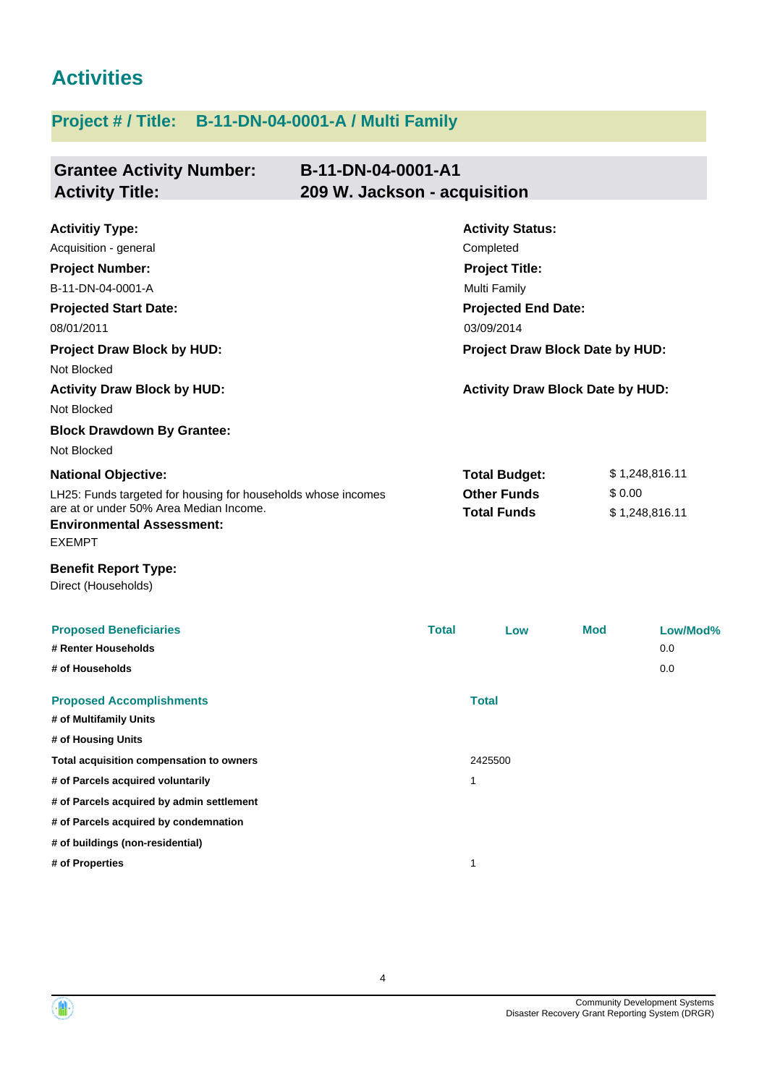# **Activities**

# **Project # / Title: B-11-DN-04-0001-A / Multi Family**

| <b>Grantee Activity Number:</b><br><b>Activity Title:</b>                                                                                                                                        | B-11-DN-04-0001-A1<br>209 W. Jackson - acquisition |                                                                                                                                                                     |            |                                  |
|--------------------------------------------------------------------------------------------------------------------------------------------------------------------------------------------------|----------------------------------------------------|---------------------------------------------------------------------------------------------------------------------------------------------------------------------|------------|----------------------------------|
| <b>Activitiy Type:</b><br>Acquisition - general<br><b>Project Number:</b><br>B-11-DN-04-0001-A<br><b>Projected Start Date:</b><br>08/01/2011<br><b>Project Draw Block by HUD:</b><br>Not Blocked |                                                    | <b>Activity Status:</b><br>Completed<br><b>Project Title:</b><br><b>Multi Family</b><br><b>Projected End Date:</b><br>03/09/2014<br>Project Draw Block Date by HUD: |            |                                  |
| <b>Activity Draw Block by HUD:</b><br>Not Blocked                                                                                                                                                |                                                    | <b>Activity Draw Block Date by HUD:</b>                                                                                                                             |            |                                  |
| <b>Block Drawdown By Grantee:</b><br>Not Blocked                                                                                                                                                 |                                                    |                                                                                                                                                                     |            |                                  |
| <b>National Objective:</b><br>LH25: Funds targeted for housing for households whose incomes<br>are at or under 50% Area Median Income.<br><b>Environmental Assessment:</b><br><b>EXEMPT</b>      |                                                    | <b>Total Budget:</b><br><b>Other Funds</b><br><b>Total Funds</b>                                                                                                    | \$0.00     | \$1,248,816.11<br>\$1,248,816.11 |
| <b>Benefit Report Type:</b><br>Direct (Households)                                                                                                                                               |                                                    |                                                                                                                                                                     |            |                                  |
| <b>Proposed Beneficiaries</b><br># Renter Households<br># of Households                                                                                                                          | <b>Total</b>                                       | Low                                                                                                                                                                 | <b>Mod</b> | Low/Mod%<br>0.0<br>0.0           |
| <b>Proposed Accomplishments</b><br># of Multifamily Units                                                                                                                                        |                                                    | <b>Total</b>                                                                                                                                                        |            |                                  |
| # of Housing Units                                                                                                                                                                               |                                                    | 2425500                                                                                                                                                             |            |                                  |
| Total acquisition compensation to owners<br># of Parcels acquired voluntarily                                                                                                                    |                                                    | 1                                                                                                                                                                   |            |                                  |
| # of Parcels acquired by admin settlement                                                                                                                                                        |                                                    |                                                                                                                                                                     |            |                                  |
| # of Parcels acquired by condemnation                                                                                                                                                            |                                                    |                                                                                                                                                                     |            |                                  |
| # of buildings (non-residential)                                                                                                                                                                 |                                                    |                                                                                                                                                                     |            |                                  |
| # of Properties                                                                                                                                                                                  |                                                    | $\mathbf{1}$                                                                                                                                                        |            |                                  |



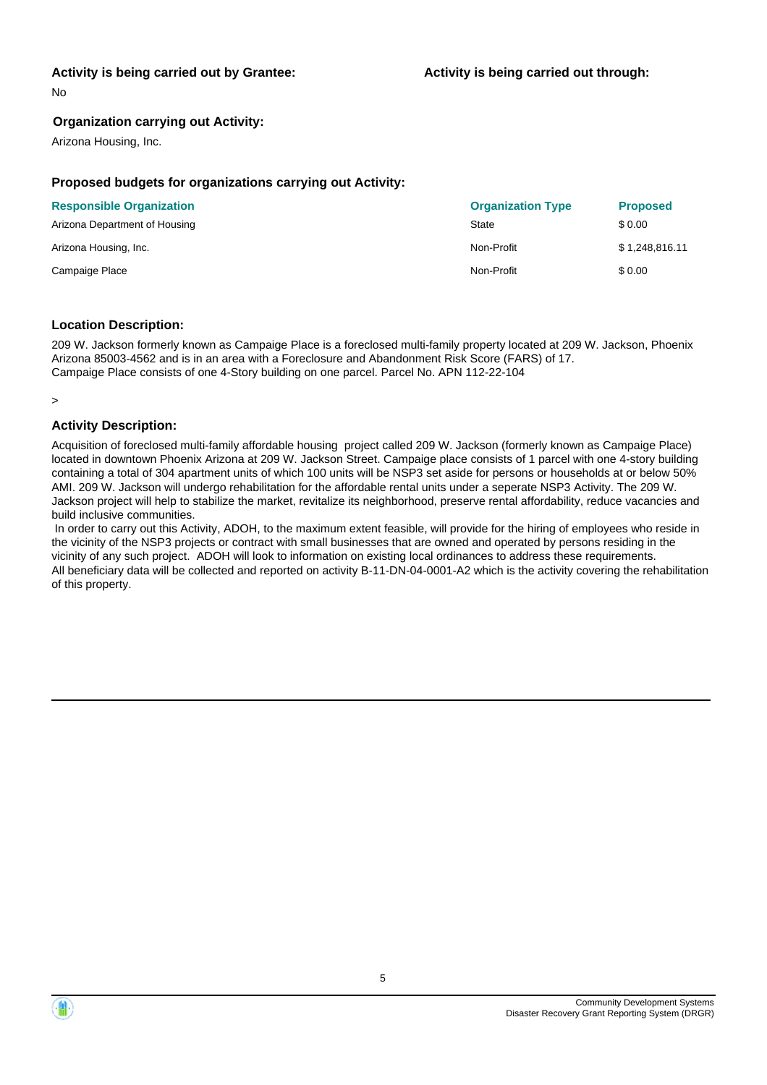#### **Activity is being carried out by Grantee:**

No

#### **Organization carrying out Activity:**

Arizona Housing, Inc.

#### **Proposed budgets for organizations carrying out Activity:**

| <b>Responsible Organization</b> | <b>Organization Type</b> | <b>Proposed</b> |
|---------------------------------|--------------------------|-----------------|
| Arizona Department of Housing   | State                    | \$0.00          |
| Arizona Housing, Inc.           | Non-Profit               | \$1,248,816.11  |
| Campaige Place                  | Non-Profit               | \$0.00          |

#### **Location Description:**

209 W. Jackson formerly known as Campaige Place is a foreclosed multi-family property located at 209 W. Jackson, Phoenix Arizona 85003-4562 and is in an area with a Foreclosure and Abandonment Risk Score (FARS) of 17. Campaige Place consists of one 4-Story building on one parcel. Parcel No. APN 112-22-104

>

#### **Activity Description:**

Acquisition of foreclosed multi-family affordable housing project called 209 W. Jackson (formerly known as Campaige Place) located in downtown Phoenix Arizona at 209 W. Jackson Street. Campaige place consists of 1 parcel with one 4-story building containing a total of 304 apartment units of which 100 units will be NSP3 set aside for persons or households at or below 50% AMI. 209 W. Jackson will undergo rehabilitation for the affordable rental units under a seperate NSP3 Activity. The 209 W. Jackson project will help to stabilize the market, revitalize its neighborhood, preserve rental affordability, reduce vacancies and build inclusive communities.

 In order to carry out this Activity, ADOH, to the maximum extent feasible, will provide for the hiring of employees who reside in the vicinity of the NSP3 projects or contract with small businesses that are owned and operated by persons residing in the vicinity of any such project. ADOH will look to information on existing local ordinances to address these requirements. All beneficiary data will be collected and reported on activity B-11-DN-04-0001-A2 which is the activity covering the rehabilitation of this property.

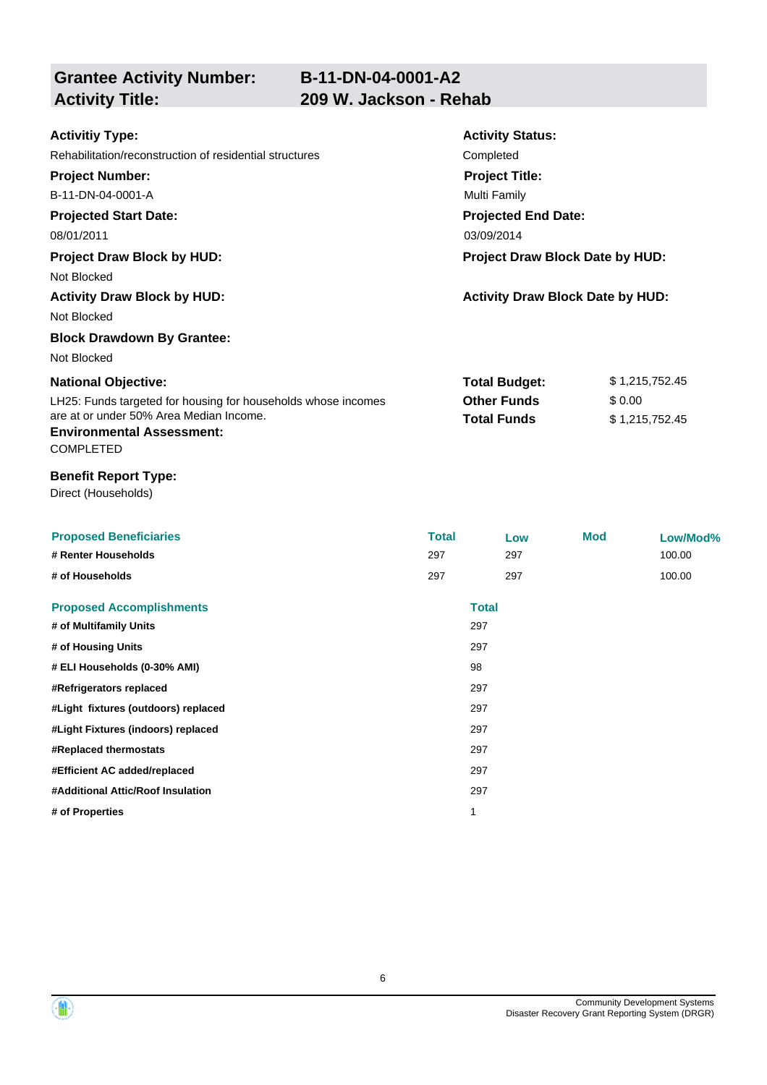**Grantee Activity Number:**

| <b>Activitiy Type:</b>                                                                          | <b>Activity Status:</b>                 |                |  |
|-------------------------------------------------------------------------------------------------|-----------------------------------------|----------------|--|
| Rehabilitation/reconstruction of residential structures                                         | Completed                               |                |  |
| <b>Project Number:</b>                                                                          | <b>Project Title:</b>                   |                |  |
| B-11-DN-04-0001-A                                                                               | Multi Family                            |                |  |
| <b>Projected Start Date:</b>                                                                    | <b>Projected End Date:</b>              |                |  |
| 08/01/2011                                                                                      | 03/09/2014                              |                |  |
| <b>Project Draw Block by HUD:</b>                                                               | Project Draw Block Date by HUD:         |                |  |
| Not Blocked                                                                                     |                                         |                |  |
| <b>Activity Draw Block by HUD:</b>                                                              | <b>Activity Draw Block Date by HUD:</b> |                |  |
| Not Blocked                                                                                     |                                         |                |  |
| <b>Block Drawdown By Grantee:</b>                                                               |                                         |                |  |
| Not Blocked                                                                                     |                                         |                |  |
| <b>National Objective:</b>                                                                      | <b>Total Budget:</b>                    | \$1,215,752.45 |  |
| LH25: Funds targeted for housing for households whose incomes                                   | <b>Other Funds</b>                      | \$0.00         |  |
| are at or under 50% Area Median Income.<br><b>Environmental Assessment:</b><br><b>COMPLETED</b> | <b>Total Funds</b>                      | \$1,215,752.45 |  |
| <b>Benefit Report Type:</b><br>Direct (Households)                                              |                                         |                |  |

| <b>Proposed Beneficiaries</b>       | <b>Total</b> |              | Low | <b>Mod</b> | Low/Mod% |
|-------------------------------------|--------------|--------------|-----|------------|----------|
| # Renter Households                 | 297          |              | 297 |            | 100.00   |
| # of Households                     | 297          |              | 297 |            | 100.00   |
| <b>Proposed Accomplishments</b>     |              | <b>Total</b> |     |            |          |
| # of Multifamily Units              |              | 297          |     |            |          |
| # of Housing Units                  |              | 297          |     |            |          |
| # ELI Households (0-30% AMI)        |              | 98           |     |            |          |
| #Refrigerators replaced             |              | 297          |     |            |          |
| #Light fixtures (outdoors) replaced |              | 297          |     |            |          |
| #Light Fixtures (indoors) replaced  |              | 297          |     |            |          |
| #Replaced thermostats               |              | 297          |     |            |          |
| #Efficient AC added/replaced        |              | 297          |     |            |          |
| #Additional Attic/Roof Insulation   |              | 297          |     |            |          |
| # of Properties                     |              |              |     |            |          |

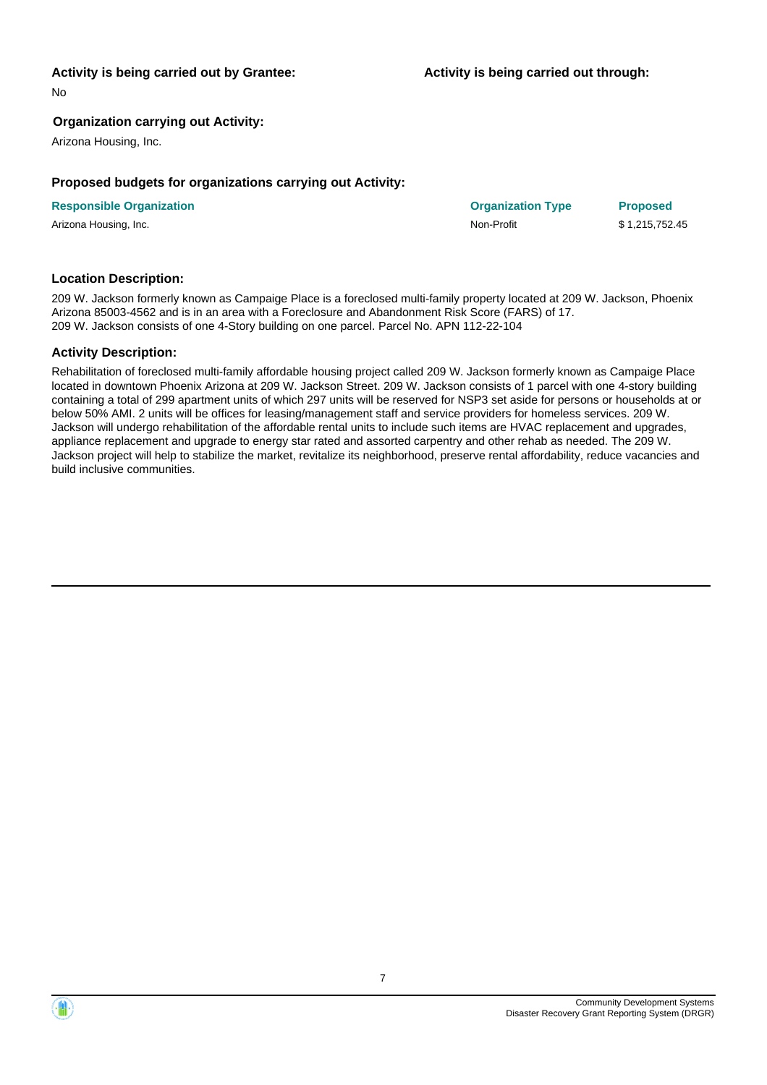#### **Activity is being carried out by Grantee:**

No

#### **Organization carrying out Activity:**

Arizona Housing, Inc.

#### **Proposed budgets for organizations carrying out Activity:**

| <b>Responsible Organization</b> | <b>Organization Type</b> | <b>Proposed</b> |
|---------------------------------|--------------------------|-----------------|
| Arizona Housing, Inc.           | Non-Profit               | \$1.215.752.45  |

#### **Location Description:**

209 W. Jackson formerly known as Campaige Place is a foreclosed multi-family property located at 209 W. Jackson, Phoenix Arizona 85003-4562 and is in an area with a Foreclosure and Abandonment Risk Score (FARS) of 17. 209 W. Jackson consists of one 4-Story building on one parcel. Parcel No. APN 112-22-104

#### **Activity Description:**

Rehabilitation of foreclosed multi-family affordable housing project called 209 W. Jackson formerly known as Campaige Place located in downtown Phoenix Arizona at 209 W. Jackson Street. 209 W. Jackson consists of 1 parcel with one 4-story building containing a total of 299 apartment units of which 297 units will be reserved for NSP3 set aside for persons or households at or below 50% AMI. 2 units will be offices for leasing/management staff and service providers for homeless services. 209 W. Jackson will undergo rehabilitation of the affordable rental units to include such items are HVAC replacement and upgrades, appliance replacement and upgrade to energy star rated and assorted carpentry and other rehab as needed. The 209 W. Jackson project will help to stabilize the market, revitalize its neighborhood, preserve rental affordability, reduce vacancies and build inclusive communities.



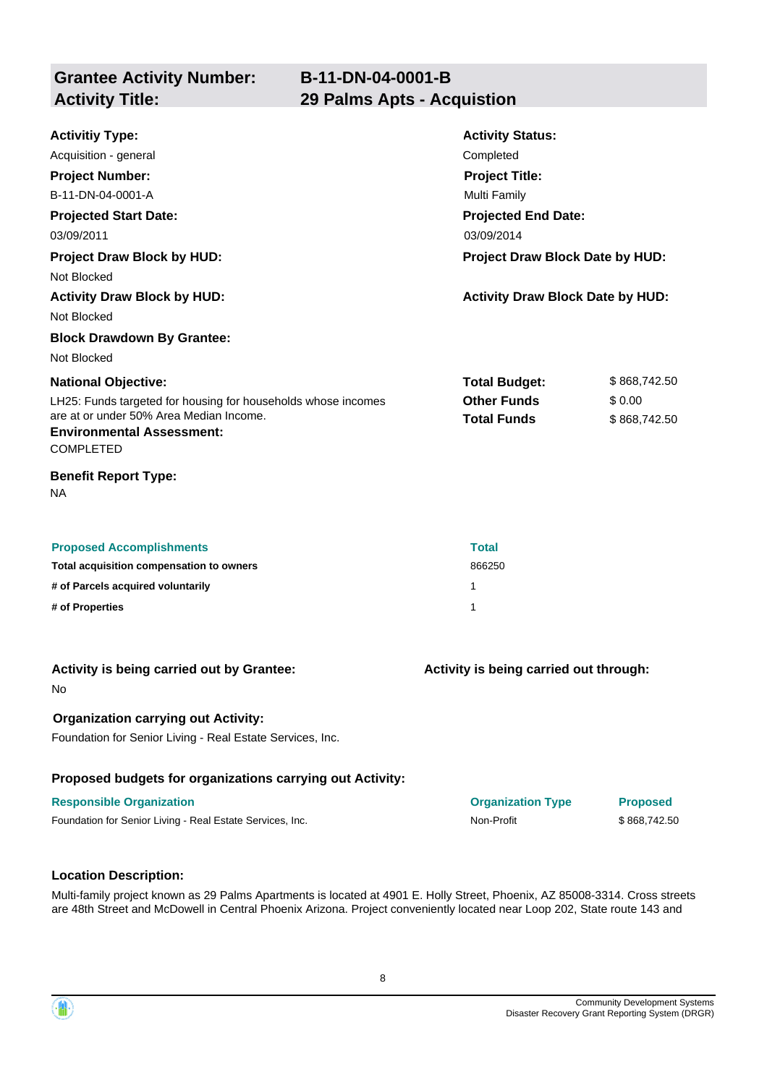**Grantee Activity Number: Activity Title: 29 Palms Apts - Acquistion**

| <b>Activitiy Type:</b><br>Acquisition - general<br><b>Project Number:</b><br>B-11-DN-04-0001-A<br><b>Projected Start Date:</b><br>03/09/2011                                                                                                                                      | <b>Activity Status:</b><br>Completed<br><b>Project Title:</b><br><b>Multi Family</b><br><b>Projected End Date:</b><br>03/09/2014 |                                        |  |
|-----------------------------------------------------------------------------------------------------------------------------------------------------------------------------------------------------------------------------------------------------------------------------------|----------------------------------------------------------------------------------------------------------------------------------|----------------------------------------|--|
| <b>Project Draw Block by HUD:</b><br>Not Blocked<br><b>Activity Draw Block by HUD:</b><br>Not Blocked                                                                                                                                                                             | Project Draw Block Date by HUD:<br><b>Activity Draw Block Date by HUD:</b>                                                       |                                        |  |
| <b>Block Drawdown By Grantee:</b><br>Not Blocked<br><b>National Objective:</b><br>LH25: Funds targeted for housing for households whose incomes<br>are at or under 50% Area Median Income.<br><b>Environmental Assessment:</b><br><b>COMPLETED</b><br><b>Benefit Report Type:</b> | <b>Total Budget:</b><br><b>Other Funds</b><br><b>Total Funds</b>                                                                 | \$868,742.50<br>\$0.00<br>\$868,742.50 |  |
| <b>NA</b><br><b>Proposed Accomplishments</b><br>Total acquisition compensation to owners<br># of Parcels acquired voluntarily<br># of Properties                                                                                                                                  | <b>Total</b><br>866250<br>1<br>1                                                                                                 |                                        |  |
| Activity is being carried out by Grantee:<br>No.<br><b>Organization carrying out Activity:</b><br>Foundation for Senior Living - Real Estate Services, Inc.                                                                                                                       | Activity is being carried out through:                                                                                           |                                        |  |
| Proposed budgets for organizations carrying out Activity:<br><b>Responsible Organization</b><br>Foundation for Senior Living - Real Estate Services, Inc.                                                                                                                         | <b>Organization Type</b><br>Non-Profit                                                                                           | <b>Proposed</b><br>\$868,742.50        |  |

#### **Location Description:**

Multi-family project known as 29 Palms Apartments is located at 4901 E. Holly Street, Phoenix, AZ 85008-3314. Cross streets are 48th Street and McDowell in Central Phoenix Arizona. Project conveniently located near Loop 202, State route 143 and

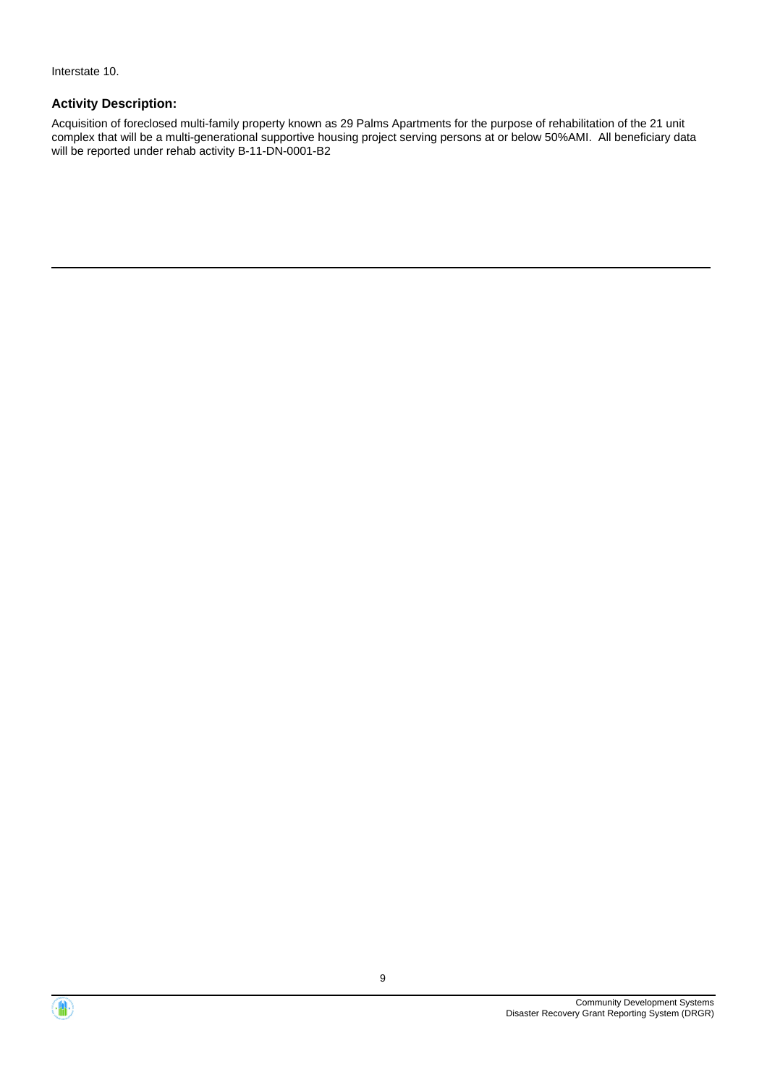Interstate 10.

### **Activity Description:**

Acquisition of foreclosed multi-family property known as 29 Palms Apartments for the purpose of rehabilitation of the 21 unit complex that will be a multi-generational supportive housing project serving persons at or below 50%AMI. All beneficiary data will be reported under rehab activity B-11-DN-0001-B2



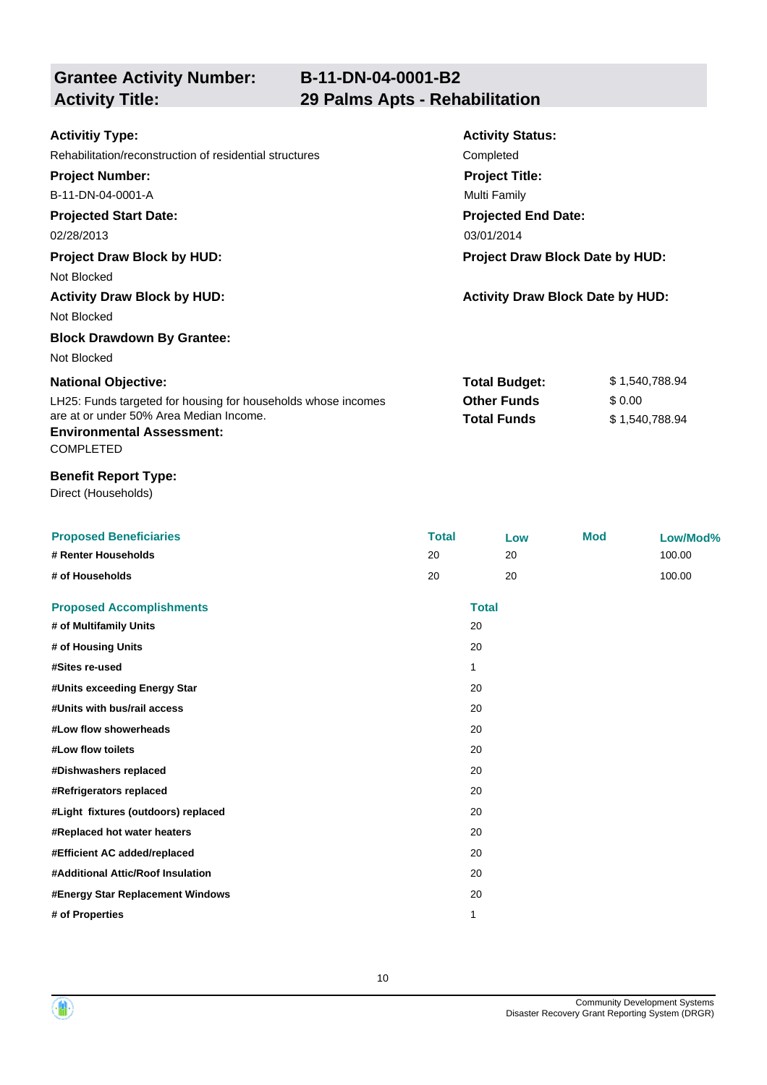**Grantee Activity Number:**

## **B-11-DN-04-0001-B2 Activity Title: 29 Palms Apts - Rehabilitation**

| <b>Activitiy Type:</b>                                        | <b>Activity Status:</b>                 |                |
|---------------------------------------------------------------|-----------------------------------------|----------------|
| Rehabilitation/reconstruction of residential structures       | Completed                               |                |
| <b>Project Number:</b>                                        | <b>Project Title:</b>                   |                |
| B-11-DN-04-0001-A                                             | Multi Family                            |                |
| <b>Projected Start Date:</b>                                  | <b>Projected End Date:</b>              |                |
| 02/28/2013                                                    | 03/01/2014                              |                |
| <b>Project Draw Block by HUD:</b>                             | Project Draw Block Date by HUD:         |                |
| Not Blocked                                                   |                                         |                |
| <b>Activity Draw Block by HUD:</b>                            | <b>Activity Draw Block Date by HUD:</b> |                |
| Not Blocked                                                   |                                         |                |
| <b>Block Drawdown By Grantee:</b>                             |                                         |                |
| Not Blocked                                                   |                                         |                |
| <b>National Objective:</b>                                    | <b>Total Budget:</b>                    | \$1,540,788.94 |
| LH25: Funds targeted for housing for households whose incomes | <b>Other Funds</b>                      | \$0.00         |
| are at or under 50% Area Median Income.                       | <b>Total Funds</b>                      | \$1,540,788.94 |
| <b>Environmental Assessment:</b>                              |                                         |                |
| <b>COMPLETED</b>                                              |                                         |                |
| <b>Benefit Report Type:</b>                                   |                                         |                |
| Direct (Households)                                           |                                         |                |

| <b>Proposed Beneficiaries</b>       | <b>Total</b> |              | Low | <b>Mod</b> | Low/Mod% |
|-------------------------------------|--------------|--------------|-----|------------|----------|
| # Renter Households                 | 20           |              | 20  |            | 100.00   |
| # of Households                     | 20           |              | 20  |            | 100.00   |
| <b>Proposed Accomplishments</b>     |              | <b>Total</b> |     |            |          |
| # of Multifamily Units              |              | 20           |     |            |          |
| # of Housing Units                  |              | 20           |     |            |          |
| #Sites re-used                      |              | 1            |     |            |          |
| #Units exceeding Energy Star        |              | 20           |     |            |          |
| #Units with bus/rail access         |              | 20           |     |            |          |
| #Low flow showerheads               |              | 20           |     |            |          |
| #Low flow toilets                   |              | 20           |     |            |          |
| #Dishwashers replaced               |              | 20           |     |            |          |
| #Refrigerators replaced             |              | 20           |     |            |          |
| #Light fixtures (outdoors) replaced |              | 20           |     |            |          |
| #Replaced hot water heaters         |              | 20           |     |            |          |
| #Efficient AC added/replaced        |              | 20           |     |            |          |
| #Additional Attic/Roof Insulation   |              | 20           |     |            |          |
| #Energy Star Replacement Windows    |              | 20           |     |            |          |
| # of Properties                     |              | 1            |     |            |          |



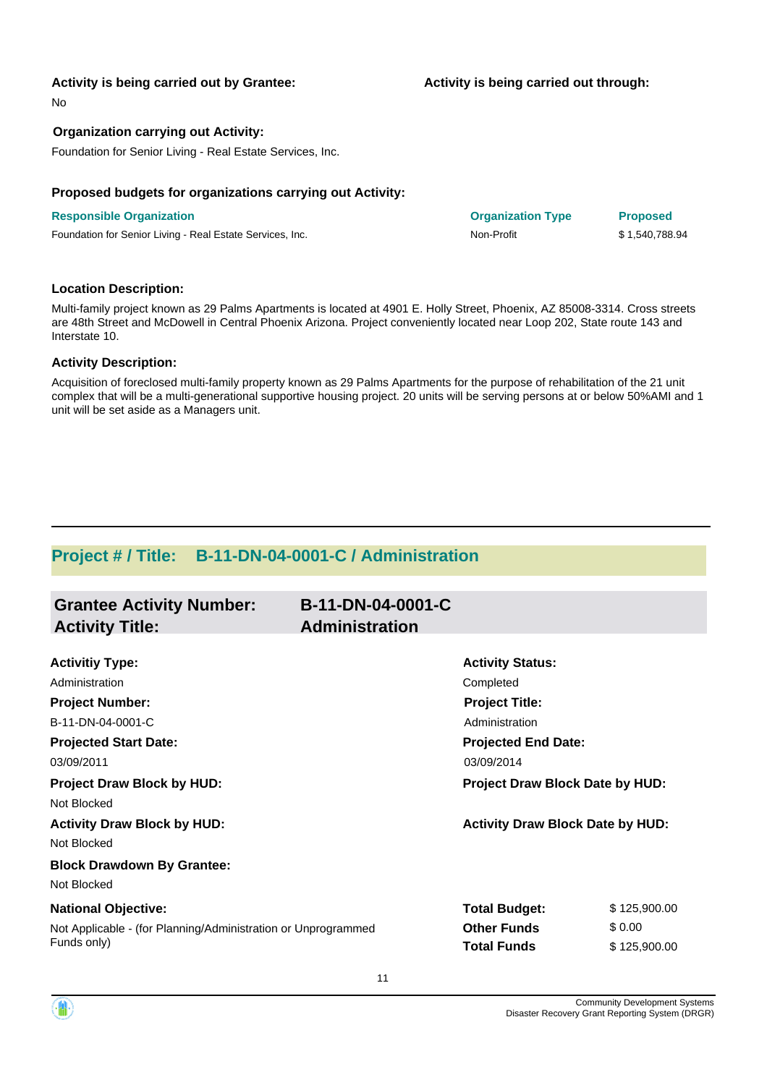#### **Activity is being carried out by Grantee:**

No

#### **Organization carrying out Activity:**

Foundation for Senior Living - Real Estate Services, Inc.

#### **Proposed budgets for organizations carrying out Activity:**

#### **Responsible Organization Organization Type Proposed**

Foundation for Senior Living - Real Estate Services, Inc. Non-Profit Non-Profit \$ 1,540,788.94

#### **Location Description:**

Multi-family project known as 29 Palms Apartments is located at 4901 E. Holly Street, Phoenix, AZ 85008-3314. Cross streets are 48th Street and McDowell in Central Phoenix Arizona. Project conveniently located near Loop 202, State route 143 and Interstate 10.

#### **Activity Description:**

Acquisition of foreclosed multi-family property known as 29 Palms Apartments for the purpose of rehabilitation of the 21 unit complex that will be a multi-generational supportive housing project. 20 units will be serving persons at or below 50%AMI and 1 unit will be set aside as a Managers unit.

### **Project # / Title: B-11-DN-04-0001-C / Administration**

| <b>Grantee Activity Number:</b>                               | B-11-DN-04-0001-C     |                                         |              |  |
|---------------------------------------------------------------|-----------------------|-----------------------------------------|--------------|--|
| <b>Activity Title:</b>                                        | <b>Administration</b> |                                         |              |  |
| <b>Activitiy Type:</b>                                        |                       | <b>Activity Status:</b>                 |              |  |
| Administration                                                |                       | Completed                               |              |  |
| <b>Project Number:</b>                                        |                       | <b>Project Title:</b>                   |              |  |
| B-11-DN-04-0001-C                                             |                       | Administration                          |              |  |
| <b>Projected Start Date:</b>                                  |                       | <b>Projected End Date:</b>              |              |  |
| 03/09/2011                                                    |                       | 03/09/2014                              |              |  |
| <b>Project Draw Block by HUD:</b>                             |                       | Project Draw Block Date by HUD:         |              |  |
| Not Blocked                                                   |                       |                                         |              |  |
| <b>Activity Draw Block by HUD:</b>                            |                       | <b>Activity Draw Block Date by HUD:</b> |              |  |
| Not Blocked                                                   |                       |                                         |              |  |
| <b>Block Drawdown By Grantee:</b>                             |                       |                                         |              |  |
| Not Blocked                                                   |                       |                                         |              |  |
| <b>National Objective:</b>                                    |                       | <b>Total Budget:</b>                    | \$125,900.00 |  |
| Not Applicable - (for Planning/Administration or Unprogrammed |                       | <b>Other Funds</b>                      | \$0.00       |  |
| Funds only)                                                   |                       | <b>Total Funds</b>                      | \$125,900.00 |  |
|                                                               |                       |                                         |              |  |

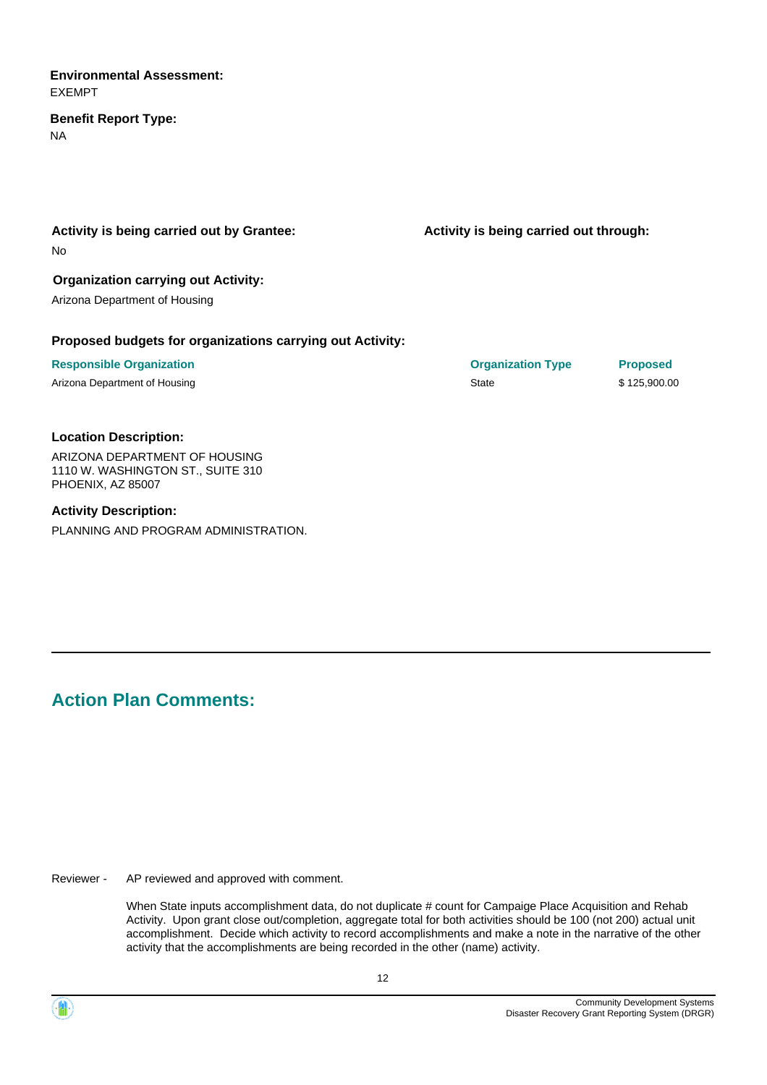#### **Environmental Assessment:** EXEMPT

### **Benefit Report Type:**

NA

### **Activity is being carried out by Grantee:**

No

### **Organization carrying out Activity:**

Arizona Department of Housing

#### **Proposed budgets for organizations carrying out Activity:**

**Responsible Organization Organization Type Proposed** Arizona Department of Housing National Arizona Department of Housing State State \$ 125,900.00

**Activity is being carried out through:**

#### **Location Description:**

ARIZONA DEPARTMENT OF HOUSING 1110 W. WASHINGTON ST., SUITE 310 PHOENIX, AZ 85007

#### **Activity Description:**

PLANNING AND PROGRAM ADMINISTRATION.

# **Action Plan Comments:**

AP reviewed and approved with comment. Reviewer -

> When State inputs accomplishment data, do not duplicate # count for Campaige Place Acquisition and Rehab Activity. Upon grant close out/completion, aggregate total for both activities should be 100 (not 200) actual unit accomplishment. Decide which activity to record accomplishments and make a note in the narrative of the other activity that the accomplishments are being recorded in the other (name) activity.